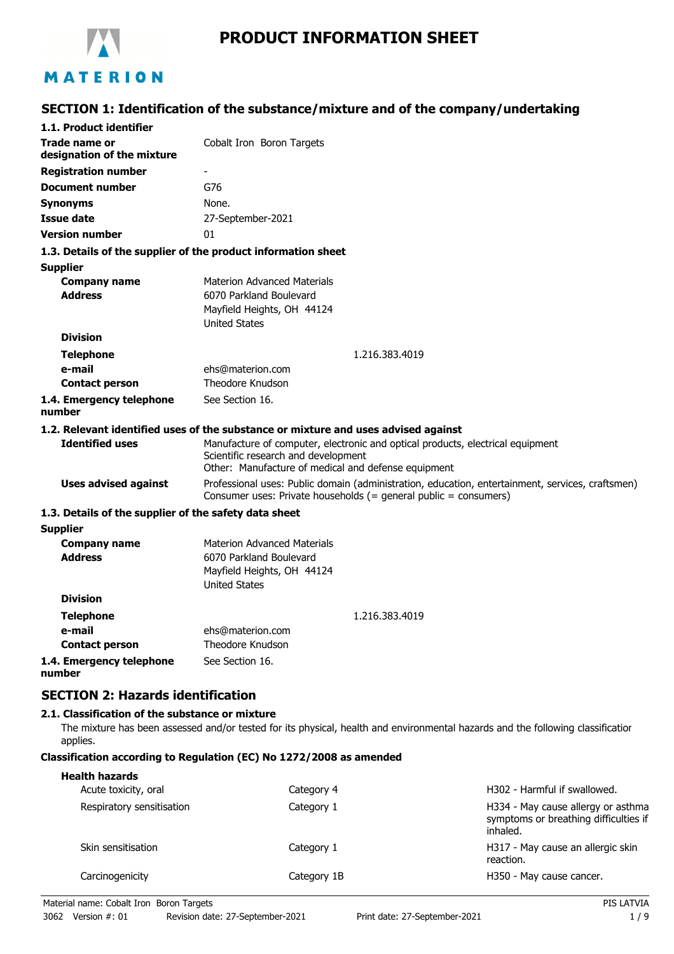

# **PRODUCT INFORMATION SHEET**

# **SECTION 1: Identification of the substance/mixture and of the company/undertaking**

| 1.1. Product identifier                               |                                                                                                                                                                      |  |
|-------------------------------------------------------|----------------------------------------------------------------------------------------------------------------------------------------------------------------------|--|
| Trade name or                                         | Cobalt Iron Boron Targets                                                                                                                                            |  |
| designation of the mixture                            |                                                                                                                                                                      |  |
| <b>Registration number</b>                            |                                                                                                                                                                      |  |
| <b>Document number</b>                                | G76                                                                                                                                                                  |  |
| <b>Synonyms</b>                                       | None.                                                                                                                                                                |  |
| <b>Issue date</b>                                     | 27-September-2021                                                                                                                                                    |  |
| <b>Version number</b>                                 | 01                                                                                                                                                                   |  |
|                                                       | 1.3. Details of the supplier of the product information sheet                                                                                                        |  |
| <b>Supplier</b>                                       |                                                                                                                                                                      |  |
| <b>Company name</b>                                   | <b>Materion Advanced Materials</b>                                                                                                                                   |  |
| <b>Address</b>                                        | 6070 Parkland Boulevard                                                                                                                                              |  |
|                                                       | Mayfield Heights, OH 44124                                                                                                                                           |  |
|                                                       | <b>United States</b>                                                                                                                                                 |  |
| <b>Division</b>                                       |                                                                                                                                                                      |  |
| <b>Telephone</b>                                      | 1.216.383.4019                                                                                                                                                       |  |
| e-mail                                                | ehs@materion.com                                                                                                                                                     |  |
| <b>Contact person</b>                                 | Theodore Knudson                                                                                                                                                     |  |
| 1.4. Emergency telephone<br>number                    | See Section 16.                                                                                                                                                      |  |
|                                                       | 1.2. Relevant identified uses of the substance or mixture and uses advised against                                                                                   |  |
| <b>Identified uses</b>                                | Manufacture of computer, electronic and optical products, electrical equipment                                                                                       |  |
|                                                       | Scientific research and development<br>Other: Manufacture of medical and defense equipment                                                                           |  |
|                                                       |                                                                                                                                                                      |  |
| <b>Uses advised against</b>                           | Professional uses: Public domain (administration, education, entertainment, services, craftsmen)<br>Consumer uses: Private households (= general public = consumers) |  |
| 1.3. Details of the supplier of the safety data sheet |                                                                                                                                                                      |  |
| <b>Supplier</b>                                       |                                                                                                                                                                      |  |
| <b>Company name</b>                                   | <b>Materion Advanced Materials</b>                                                                                                                                   |  |
| <b>Address</b>                                        | 6070 Parkland Boulevard                                                                                                                                              |  |
|                                                       | Mayfield Heights, OH 44124                                                                                                                                           |  |
| <b>Division</b>                                       | <b>United States</b>                                                                                                                                                 |  |
|                                                       |                                                                                                                                                                      |  |
| <b>Telephone</b>                                      | 1.216.383.4019                                                                                                                                                       |  |
| e-mail                                                | ehs@materion.com                                                                                                                                                     |  |
| <b>Contact person</b>                                 | Theodore Knudson                                                                                                                                                     |  |
| 1.4. Emergency telephone<br>number                    | See Section 16.                                                                                                                                                      |  |
| <b>SECTION 2: Hazards identification</b>              |                                                                                                                                                                      |  |
| 2.1. Classification of the substance or mixture       |                                                                                                                                                                      |  |

The mixture has been assessed and/or tested for its physical, health and environmental hazards and the following classification applies.

#### **Classification according to Regulation (EC) No 1272/2008 as amended**

| <b>Health hazards</b><br>Acute toxicity, oral | Category 4  | H302 - Harmful if swallowed.                                                            |
|-----------------------------------------------|-------------|-----------------------------------------------------------------------------------------|
| Respiratory sensitisation                     | Category 1  | H334 - May cause allergy or asthma<br>symptoms or breathing difficulties if<br>inhaled. |
| Skin sensitisation                            | Category 1  | H317 - May cause an allergic skin<br>reaction.                                          |
| Carcinogenicity                               | Category 1B | H350 - May cause cancer.                                                                |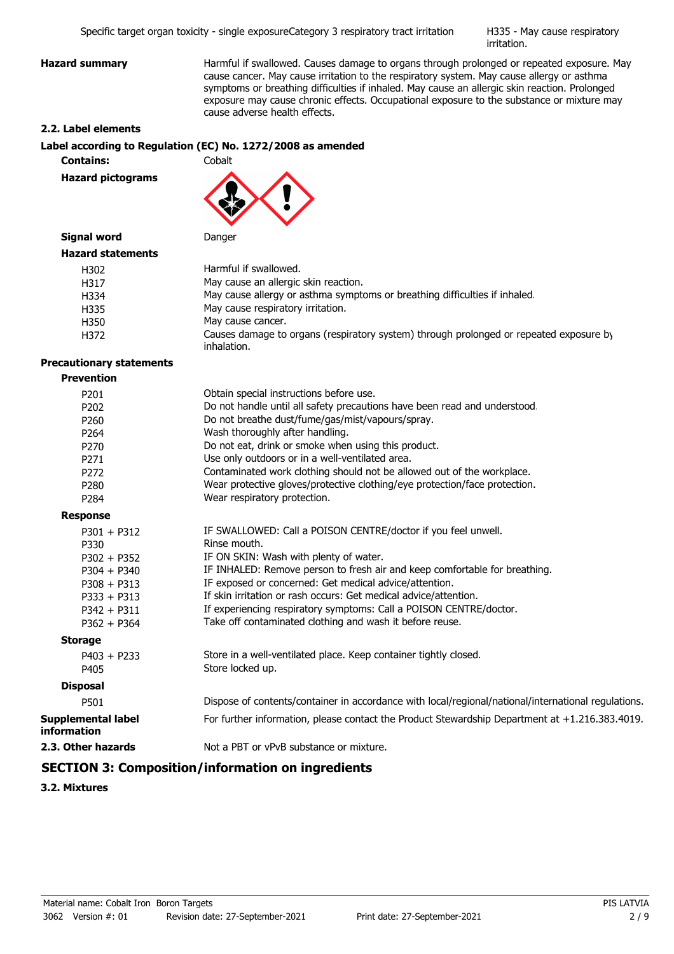H335 - May cause respiratory irritation.

**Hazard summary Harmful if swallowed. Causes damage to organs through prolonged or repeated exposure. May** cause cancer. May cause irritation to the respiratory system. May cause allergy or asthma symptoms or breathing difficulties if inhaled. May cause an allergic skin reaction. Prolonged exposure may cause chronic effects. Occupational exposure to the substance or mixture may cause adverse health effects.

#### **2.2. Label elements**

#### **Label according to Regulation (EC) No. 1272/2008 as amended**

**Contains:** Cobalt

**Hazard pictograms**



## **Signal word** Danger

| <b>Hazard statements</b> |                                                                                                       |
|--------------------------|-------------------------------------------------------------------------------------------------------|
| H302                     | Harmful if swallowed.                                                                                 |
| H317                     | May cause an allergic skin reaction.                                                                  |
| H334                     | May cause allergy or asthma symptoms or breathing difficulties if inhaled.                            |
| H335                     | May cause respiratory irritation.                                                                     |
| H350                     | May cause cancer.                                                                                     |
| H372                     | Causes damage to organs (respiratory system) through prolonged or repeated exposure by<br>inhalation. |

#### **Precautionary statements**

| <b>Prevention</b> |
|-------------------|
|-------------------|

| P <sub>201</sub>                                | Obtain special instructions before use.                                                             |
|-------------------------------------------------|-----------------------------------------------------------------------------------------------------|
| P <sub>202</sub>                                | Do not handle until all safety precautions have been read and understood.                           |
| P260                                            | Do not breathe dust/fume/gas/mist/vapours/spray.                                                    |
| P264                                            | Wash thoroughly after handling.                                                                     |
| P <sub>270</sub>                                | Do not eat, drink or smoke when using this product.                                                 |
| P271                                            | Use only outdoors or in a well-ventilated area.                                                     |
| P <sub>272</sub>                                | Contaminated work clothing should not be allowed out of the workplace.                              |
| P <sub>280</sub>                                | Wear protective gloves/protective clothing/eye protection/face protection.                          |
| P <sub>284</sub>                                | Wear respiratory protection.                                                                        |
| <b>Response</b>                                 |                                                                                                     |
| $P301 + P312$                                   | IF SWALLOWED: Call a POISON CENTRE/doctor if you feel unwell.                                       |
| P330                                            | Rinse mouth.                                                                                        |
| $P302 + P352$                                   | IF ON SKIN: Wash with plenty of water.                                                              |
| $P304 + P340$                                   | IF INHALED: Remove person to fresh air and keep comfortable for breathing.                          |
| $P308 + P313$                                   | IF exposed or concerned: Get medical advice/attention.                                              |
| $P333 + P313$                                   | If skin irritation or rash occurs: Get medical advice/attention.                                    |
| $P342 + P311$                                   | If experiencing respiratory symptoms: Call a POISON CENTRE/doctor.                                  |
| $P362 + P364$                                   | Take off contaminated clothing and wash it before reuse.                                            |
| <b>Storage</b>                                  |                                                                                                     |
| $P403 + P233$                                   | Store in a well-ventilated place. Keep container tightly closed.                                    |
| P405                                            | Store locked up.                                                                                    |
| <b>Disposal</b>                                 |                                                                                                     |
| P501                                            | Dispose of contents/container in accordance with local/regional/national/international regulations. |
| <b>Supplemental label</b><br><b>information</b> | For further information, please contact the Product Stewardship Department at +1.216.383.4019.      |
| 2.3. Other hazards                              | Not a PBT or vPvB substance or mixture.                                                             |

# **SECTION 3: Composition/information on ingredients**

**3.2. Mixtures**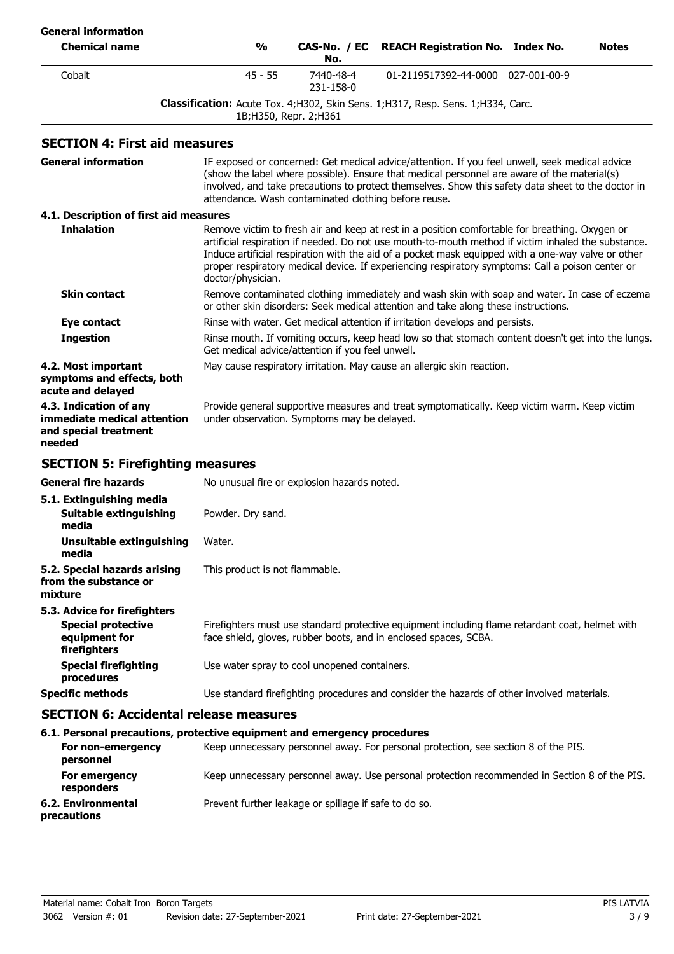| <b>General information</b>                                                                 |                                                                                                                                                                                                                                                                                                                                                             |                                                  |                                                                                                                                                                                                                                                                                                                                                                                                                 |              |
|--------------------------------------------------------------------------------------------|-------------------------------------------------------------------------------------------------------------------------------------------------------------------------------------------------------------------------------------------------------------------------------------------------------------------------------------------------------------|--------------------------------------------------|-----------------------------------------------------------------------------------------------------------------------------------------------------------------------------------------------------------------------------------------------------------------------------------------------------------------------------------------------------------------------------------------------------------------|--------------|
| <b>Chemical name</b>                                                                       | $\frac{0}{0}$                                                                                                                                                                                                                                                                                                                                               | CAS-No. / EC<br>No.                              | <b>REACH Registration No. Index No.</b>                                                                                                                                                                                                                                                                                                                                                                         | <b>Notes</b> |
| Cobalt                                                                                     | $45 - 55$                                                                                                                                                                                                                                                                                                                                                   | 7440-48-4<br>231-158-0                           | 01-2119517392-44-0000 027-001-00-9                                                                                                                                                                                                                                                                                                                                                                              |              |
|                                                                                            |                                                                                                                                                                                                                                                                                                                                                             | 1B; H350, Repr. 2; H361                          | Classification: Acute Tox. 4; H302, Skin Sens. 1; H317, Resp. Sens. 1; H334, Carc.                                                                                                                                                                                                                                                                                                                              |              |
| <b>SECTION 4: First aid measures</b>                                                       |                                                                                                                                                                                                                                                                                                                                                             |                                                  |                                                                                                                                                                                                                                                                                                                                                                                                                 |              |
| <b>General information</b>                                                                 | IF exposed or concerned: Get medical advice/attention. If you feel unwell, seek medical advice<br>(show the label where possible). Ensure that medical personnel are aware of the material(s)<br>involved, and take precautions to protect themselves. Show this safety data sheet to the doctor in<br>attendance. Wash contaminated clothing before reuse. |                                                  |                                                                                                                                                                                                                                                                                                                                                                                                                 |              |
| 4.1. Description of first aid measures                                                     |                                                                                                                                                                                                                                                                                                                                                             |                                                  |                                                                                                                                                                                                                                                                                                                                                                                                                 |              |
| <b>Inhalation</b>                                                                          | doctor/physician.                                                                                                                                                                                                                                                                                                                                           |                                                  | Remove victim to fresh air and keep at rest in a position comfortable for breathing. Oxygen or<br>artificial respiration if needed. Do not use mouth-to-mouth method if victim inhaled the substance.<br>Induce artificial respiration with the aid of a pocket mask equipped with a one-way valve or other<br>proper respiratory medical device. If experiencing respiratory symptoms: Call a poison center or |              |
| <b>Skin contact</b>                                                                        | Remove contaminated clothing immediately and wash skin with soap and water. In case of eczema<br>or other skin disorders: Seek medical attention and take along these instructions.                                                                                                                                                                         |                                                  |                                                                                                                                                                                                                                                                                                                                                                                                                 |              |
| Eye contact                                                                                |                                                                                                                                                                                                                                                                                                                                                             |                                                  | Rinse with water. Get medical attention if irritation develops and persists.                                                                                                                                                                                                                                                                                                                                    |              |
| <b>Ingestion</b>                                                                           |                                                                                                                                                                                                                                                                                                                                                             | Get medical advice/attention if you feel unwell. | Rinse mouth. If vomiting occurs, keep head low so that stomach content doesn't get into the lungs.                                                                                                                                                                                                                                                                                                              |              |
| 4.2. Most important<br>symptoms and effects, both<br>acute and delayed                     |                                                                                                                                                                                                                                                                                                                                                             |                                                  | May cause respiratory irritation. May cause an allergic skin reaction.                                                                                                                                                                                                                                                                                                                                          |              |
| 4.3. Indication of any<br>immediate medical attention<br>and special treatment<br>needed   |                                                                                                                                                                                                                                                                                                                                                             | under observation. Symptoms may be delayed.      | Provide general supportive measures and treat symptomatically. Keep victim warm. Keep victim                                                                                                                                                                                                                                                                                                                    |              |
| <b>SECTION 5: Firefighting measures</b>                                                    |                                                                                                                                                                                                                                                                                                                                                             |                                                  |                                                                                                                                                                                                                                                                                                                                                                                                                 |              |
| <b>General fire hazards</b>                                                                |                                                                                                                                                                                                                                                                                                                                                             | No unusual fire or explosion hazards noted.      |                                                                                                                                                                                                                                                                                                                                                                                                                 |              |
| 5.1. Extinguishing media<br><b>Suitable extinguishing</b><br>media                         | Powder. Dry sand.                                                                                                                                                                                                                                                                                                                                           |                                                  |                                                                                                                                                                                                                                                                                                                                                                                                                 |              |
| <b>Unsuitable extinguishing</b><br>media                                                   | Water.                                                                                                                                                                                                                                                                                                                                                      |                                                  |                                                                                                                                                                                                                                                                                                                                                                                                                 |              |
| 5.2. Special hazards arising<br>from the substance or<br>mixture                           | This product is not flammable.                                                                                                                                                                                                                                                                                                                              |                                                  |                                                                                                                                                                                                                                                                                                                                                                                                                 |              |
| 5.3. Advice for firefighters<br><b>Special protective</b><br>equipment for<br>firefighters |                                                                                                                                                                                                                                                                                                                                                             |                                                  | Firefighters must use standard protective equipment including flame retardant coat, helmet with<br>face shield, gloves, rubber boots, and in enclosed spaces, SCBA.                                                                                                                                                                                                                                             |              |
| <b>Special firefighting</b><br>procedures                                                  |                                                                                                                                                                                                                                                                                                                                                             | Use water spray to cool unopened containers.     |                                                                                                                                                                                                                                                                                                                                                                                                                 |              |
| <b>Specific methods</b>                                                                    |                                                                                                                                                                                                                                                                                                                                                             |                                                  | Use standard firefighting procedures and consider the hazards of other involved materials.                                                                                                                                                                                                                                                                                                                      |              |
| <b>SECTION 6: Accidental release measures</b>                                              |                                                                                                                                                                                                                                                                                                                                                             |                                                  |                                                                                                                                                                                                                                                                                                                                                                                                                 |              |
| 6.1. Personal precautions, protective equipment and emergency procedures                   |                                                                                                                                                                                                                                                                                                                                                             |                                                  |                                                                                                                                                                                                                                                                                                                                                                                                                 |              |
| For non-emergency<br>personnel                                                             |                                                                                                                                                                                                                                                                                                                                                             |                                                  | Keep unnecessary personnel away. For personal protection, see section 8 of the PIS.                                                                                                                                                                                                                                                                                                                             |              |
| For emergency                                                                              |                                                                                                                                                                                                                                                                                                                                                             |                                                  | Keep unnecessary personnel away. Use personal protection recommended in Section 8 of the PIS.                                                                                                                                                                                                                                                                                                                   |              |

**responders**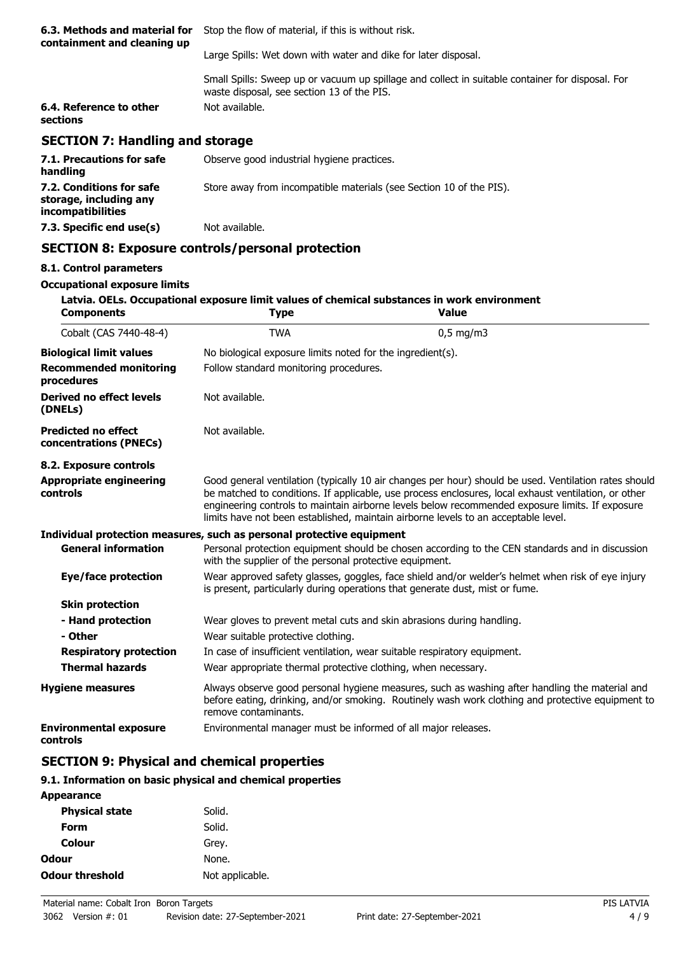| 6.3. Methods and material for<br>containment and cleaning up | Stop the flow of material, if this is without risk.                                                                                            |  |
|--------------------------------------------------------------|------------------------------------------------------------------------------------------------------------------------------------------------|--|
|                                                              | Large Spills: Wet down with water and dike for later disposal.                                                                                 |  |
|                                                              | Small Spills: Sweep up or vacuum up spillage and collect in suitable container for disposal. For<br>waste disposal, see section 13 of the PIS. |  |
| 6.4. Reference to other<br>sections                          | Not available.                                                                                                                                 |  |
| <b>SECTION 7: Handling and storage</b>                       |                                                                                                                                                |  |
| 7.1. Precautions for safe<br>handling                        | Observe good industrial hygiene practices.                                                                                                     |  |
| 7.2. Conditions for safe                                     | Store away from incompatible materials (see Section 10 of the PIS).                                                                            |  |

# **SECTION 8: Exposure controls/personal protection**

**7.3. Specific end use(s)** Not available.

#### **8.1. Control parameters**

**storage, including any incompatibilities**

#### **Occupational exposure limits**

| <b>Components</b>                                                             | <b>Type</b>                                                                                                                                                                                                                                                                                                                                                                                            | Latvia. OELs. Occupational exposure limit values of chemical substances in work environment<br><b>Value</b>                                                                                         |  |
|-------------------------------------------------------------------------------|--------------------------------------------------------------------------------------------------------------------------------------------------------------------------------------------------------------------------------------------------------------------------------------------------------------------------------------------------------------------------------------------------------|-----------------------------------------------------------------------------------------------------------------------------------------------------------------------------------------------------|--|
| Cobalt (CAS 7440-48-4)                                                        | <b>TWA</b>                                                                                                                                                                                                                                                                                                                                                                                             | $0.5$ mg/m $3$                                                                                                                                                                                      |  |
| <b>Biological limit values</b><br><b>Recommended monitoring</b><br>procedures | No biological exposure limits noted for the ingredient(s).<br>Follow standard monitoring procedures.                                                                                                                                                                                                                                                                                                   |                                                                                                                                                                                                     |  |
| <b>Derived no effect levels</b><br>(DNELs)                                    | Not available.                                                                                                                                                                                                                                                                                                                                                                                         |                                                                                                                                                                                                     |  |
| <b>Predicted no effect</b><br>concentrations (PNECs)                          | Not available.                                                                                                                                                                                                                                                                                                                                                                                         |                                                                                                                                                                                                     |  |
| 8.2. Exposure controls                                                        |                                                                                                                                                                                                                                                                                                                                                                                                        |                                                                                                                                                                                                     |  |
| <b>Appropriate engineering</b><br>controls                                    | Good general ventilation (typically 10 air changes per hour) should be used. Ventilation rates should<br>be matched to conditions. If applicable, use process enclosures, local exhaust ventilation, or other<br>engineering controls to maintain airborne levels below recommended exposure limits. If exposure<br>limits have not been established, maintain airborne levels to an acceptable level. |                                                                                                                                                                                                     |  |
|                                                                               | Individual protection measures, such as personal protective equipment                                                                                                                                                                                                                                                                                                                                  |                                                                                                                                                                                                     |  |
| <b>General information</b>                                                    | with the supplier of the personal protective equipment.                                                                                                                                                                                                                                                                                                                                                | Personal protection equipment should be chosen according to the CEN standards and in discussion                                                                                                     |  |
| Eye/face protection                                                           | Wear approved safety glasses, goggles, face shield and/or welder's helmet when risk of eye injury<br>is present, particularly during operations that generate dust, mist or fume.                                                                                                                                                                                                                      |                                                                                                                                                                                                     |  |
| <b>Skin protection</b>                                                        |                                                                                                                                                                                                                                                                                                                                                                                                        |                                                                                                                                                                                                     |  |
| - Hand protection                                                             |                                                                                                                                                                                                                                                                                                                                                                                                        | Wear gloves to prevent metal cuts and skin abrasions during handling.                                                                                                                               |  |
| - Other                                                                       | Wear suitable protective clothing.                                                                                                                                                                                                                                                                                                                                                                     |                                                                                                                                                                                                     |  |
| <b>Respiratory protection</b>                                                 |                                                                                                                                                                                                                                                                                                                                                                                                        | In case of insufficient ventilation, wear suitable respiratory equipment.                                                                                                                           |  |
| <b>Thermal hazards</b>                                                        | Wear appropriate thermal protective clothing, when necessary.                                                                                                                                                                                                                                                                                                                                          |                                                                                                                                                                                                     |  |
| <b>Hygiene measures</b>                                                       | remove contaminants.                                                                                                                                                                                                                                                                                                                                                                                   | Always observe good personal hygiene measures, such as washing after handling the material and<br>before eating, drinking, and/or smoking. Routinely wash work clothing and protective equipment to |  |
| <b>Environmental exposure</b><br>controls                                     | Environmental manager must be informed of all major releases.                                                                                                                                                                                                                                                                                                                                          |                                                                                                                                                                                                     |  |

# **SECTION 9: Physical and chemical properties**

#### **9.1. Information on basic physical and chemical properties**

| <b>Appearance</b>      |                 |
|------------------------|-----------------|
| <b>Physical state</b>  | Solid.          |
| Form                   | Solid.          |
| <b>Colour</b>          | Grey.           |
| Odour                  | None.           |
| <b>Odour threshold</b> | Not applicable. |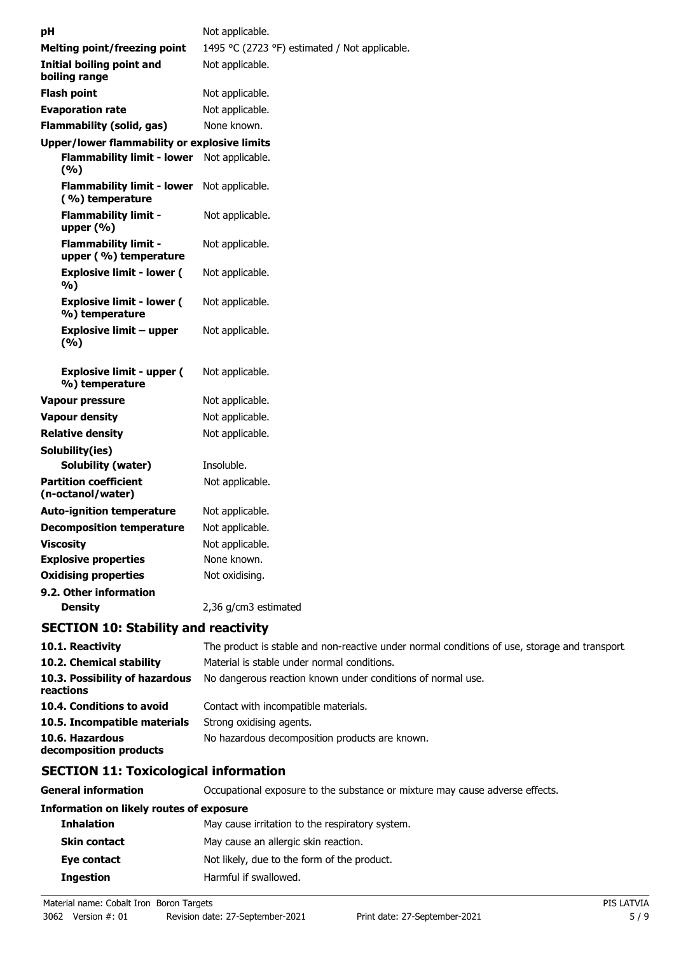| рH                                                   | Not applicable.                               |
|------------------------------------------------------|-----------------------------------------------|
| <b>Melting point/freezing point</b>                  | 1495 °C (2723 °F) estimated / Not applicable. |
| <b>Initial boiling point and</b><br>boiling range    | Not applicable.                               |
| <b>Flash point</b>                                   | Not applicable.                               |
| <b>Evaporation rate</b>                              | Not applicable.                               |
| Flammability (solid, gas)                            | None known.                                   |
| <b>Upper/lower flammability or explosive limits</b>  |                                               |
| <b>Flammability limit - lower</b><br>(%)             | Not applicable.                               |
| <b>Flammability limit - lower</b><br>(%) temperature | Not applicable.                               |
| <b>Flammability limit -</b><br>upper $(\% )$         | Not applicable.                               |
| <b>Flammability limit -</b><br>upper (%) temperature | Not applicable.                               |
| <b>Explosive limit - lower (</b><br>%)               | Not applicable.                               |
| <b>Explosive limit - lower (</b><br>%) temperature   | Not applicable.                               |
| Explosive limit – upper<br>(%)                       | Not applicable.                               |
| <b>Explosive limit - upper (</b><br>%) temperature   | Not applicable.                               |
| Vapour pressure                                      | Not applicable.                               |
| <b>Vapour density</b>                                | Not applicable.                               |
| <b>Relative density</b>                              | Not applicable.                               |
| Solubility(ies)                                      |                                               |
| <b>Solubility (water)</b>                            | Insoluble.                                    |
| <b>Partition coefficient</b><br>(n-octanol/water)    | Not applicable.                               |
| <b>Auto-ignition temperature</b>                     | Not applicable.                               |
| <b>Decomposition temperature</b>                     | Not applicable.                               |
| <b>Viscosity</b>                                     | Not applicable.                               |
| <b>Explosive properties</b>                          | None known.                                   |
| <b>Oxidising properties</b>                          | Not oxidising.                                |
| 9.2. Other information                               |                                               |
| <b>Density</b>                                       | 2,36 g/cm3 estimated                          |

# **SECTION 10: Stability and reactivity**

| 10.1. Reactivity                            | The product is stable and non-reactive under normal conditions of use, storage and transport. |
|---------------------------------------------|-----------------------------------------------------------------------------------------------|
| 10.2. Chemical stability                    | Material is stable under normal conditions.                                                   |
| 10.3. Possibility of hazardous<br>reactions | No dangerous reaction known under conditions of normal use.                                   |
| 10.4. Conditions to avoid                   | Contact with incompatible materials.                                                          |
| 10.5. Incompatible materials                | Strong oxidising agents.                                                                      |
| 10.6. Hazardous<br>decomposition products   | No hazardous decomposition products are known.                                                |

# **SECTION 11: Toxicological information**

**General information CCCUPATION** Occupational exposure to the substance or mixture may cause adverse effects.

### **Information on likely routes of exposure**

| <b>Inhalation</b>   | May cause irritation to the respiratory system. |
|---------------------|-------------------------------------------------|
| <b>Skin contact</b> | May cause an allergic skin reaction.            |
| Eye contact         | Not likely, due to the form of the product.     |
| <b>Ingestion</b>    | Harmful if swallowed.                           |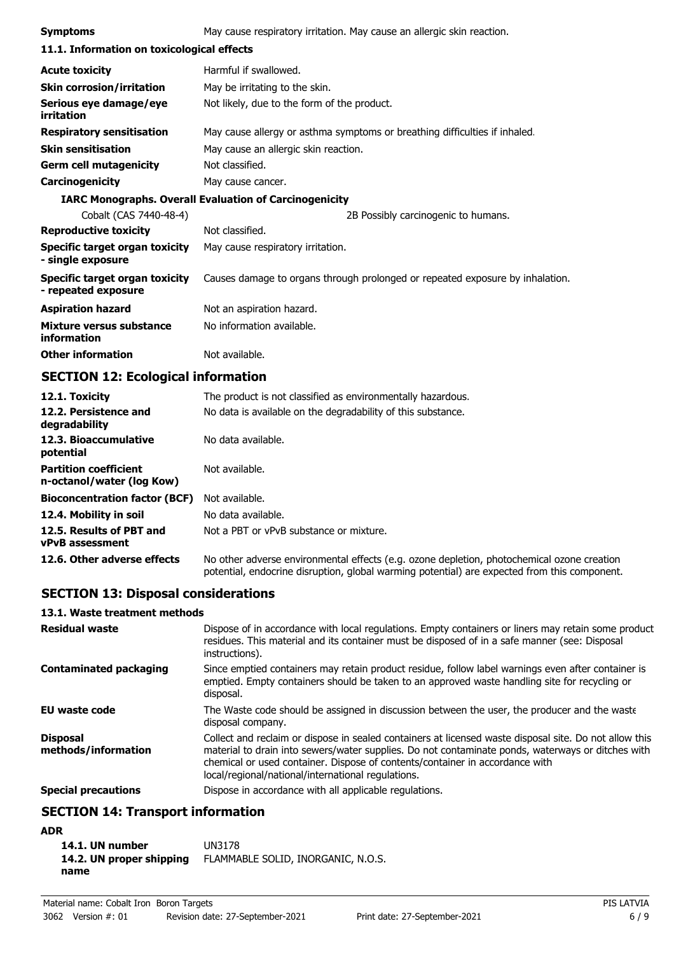| <b>Symptoms</b>                                               | May cause respiratory irritation. May cause an allergic skin reaction.        |  |
|---------------------------------------------------------------|-------------------------------------------------------------------------------|--|
| 11.1. Information on toxicological effects                    |                                                                               |  |
| <b>Acute toxicity</b>                                         | Harmful if swallowed.                                                         |  |
| <b>Skin corrosion/irritation</b>                              | May be irritating to the skin.                                                |  |
| Serious eye damage/eye<br>irritation                          | Not likely, due to the form of the product.                                   |  |
| <b>Respiratory sensitisation</b>                              | May cause allergy or asthma symptoms or breathing difficulties if inhaled.    |  |
| <b>Skin sensitisation</b>                                     | May cause an allergic skin reaction.                                          |  |
| <b>Germ cell mutagenicity</b>                                 | Not classified.                                                               |  |
| Carcinogenicity                                               | May cause cancer.                                                             |  |
| <b>IARC Monographs. Overall Evaluation of Carcinogenicity</b> |                                                                               |  |
| Cobalt (CAS 7440-48-4)                                        | 2B Possibly carcinogenic to humans.                                           |  |
| <b>Reproductive toxicity</b>                                  | Not classified.                                                               |  |
| Specific target organ toxicity<br>- single exposure           | May cause respiratory irritation.                                             |  |
| Specific target organ toxicity<br>- repeated exposure         | Causes damage to organs through prolonged or repeated exposure by inhalation. |  |
| <b>Aspiration hazard</b>                                      | Not an aspiration hazard.                                                     |  |
| Mixture versus substance<br>information                       | No information available.                                                     |  |
| <b>Other information</b>                                      | Not available.                                                                |  |

# **SECTION 12: Ecological information**

| 12.1. Toxicity                                            | The product is not classified as environmentally hazardous.                                                                                                                                |
|-----------------------------------------------------------|--------------------------------------------------------------------------------------------------------------------------------------------------------------------------------------------|
| 12.2. Persistence and<br>degradability                    | No data is available on the degradability of this substance.                                                                                                                               |
| 12.3. Bioaccumulative<br>potential                        | No data available.                                                                                                                                                                         |
| <b>Partition coefficient</b><br>n-octanol/water (log Kow) | Not available.                                                                                                                                                                             |
| <b>Bioconcentration factor (BCF)</b>                      | Not available.                                                                                                                                                                             |
| 12.4. Mobility in soil                                    | No data available.                                                                                                                                                                         |
| 12.5. Results of PBT and<br><b>vPvB</b> assessment        | Not a PBT or vPvB substance or mixture.                                                                                                                                                    |
| 12.6. Other adverse effects                               | No other adverse environmental effects (e.g. ozone depletion, photochemical ozone creation<br>potential, endocrine disruption, global warming potential) are expected from this component. |

# **SECTION 13: Disposal considerations**

## **13.1. Waste treatment methods**

| <b>Residual waste</b>                  | Dispose of in accordance with local regulations. Empty containers or liners may retain some product<br>residues. This material and its container must be disposed of in a safe manner (see: Disposal<br>instructions).                                                                                                                            |
|----------------------------------------|---------------------------------------------------------------------------------------------------------------------------------------------------------------------------------------------------------------------------------------------------------------------------------------------------------------------------------------------------|
| <b>Contaminated packaging</b>          | Since emptied containers may retain product residue, follow label warnings even after container is<br>emptied. Empty containers should be taken to an approved waste handling site for recycling or<br>disposal.                                                                                                                                  |
| <b>EU waste code</b>                   | The Waste code should be assigned in discussion between the user, the producer and the waste<br>disposal company.                                                                                                                                                                                                                                 |
| <b>Disposal</b><br>methods/information | Collect and reclaim or dispose in sealed containers at licensed waste disposal site. Do not allow this<br>material to drain into sewers/water supplies. Do not contaminate ponds, waterways or ditches with<br>chemical or used container. Dispose of contents/container in accordance with<br>local/regional/national/international regulations. |
| <b>Special precautions</b>             | Dispose in accordance with all applicable regulations.                                                                                                                                                                                                                                                                                            |

# **SECTION 14: Transport information**

## **ADR**

| 14.1. UN number          | UN3178                             |
|--------------------------|------------------------------------|
| 14.2. UN proper shipping | FLAMMABLE SOLID, INORGANIC, N.O.S. |
| name                     |                                    |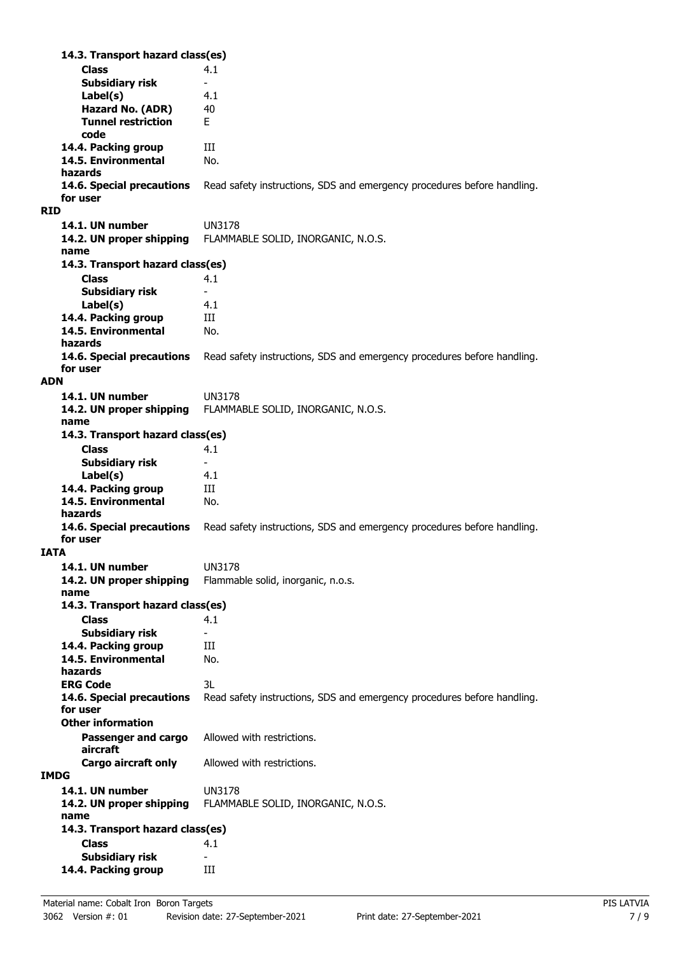**Class** 4.1 **14.3. Transport hazard class(es) Subsidiary risk Label(s)** 4.1 **Hazard No. (ADR)** 40 **Tunnel restriction** E **code 14.4. Packing group III 14.5. Environmental** No. **hazards** Read safety instructions, SDS and emergency procedures before handling. **for user RID 14.1. UN number** UN3178 **14.2. UN proper shipping** FLAMMABLE SOLID, INORGANIC, N.O.S. **name Class** 4.1 **14.3. Transport hazard class(es) Subsidiary risk Label(s)** 4.1 14.4. Packing group **III 14.5. Environmental** No. **hazards 14.6. Special precautions** Read safety instructions, SDS and emergency procedures before handling. **for user ADN 14.1. UN number** UN3178 **14.2. UN proper shipping** FLAMMABLE SOLID, INORGANIC, N.O.S. **name Class** 4.1 **14.3. Transport hazard class(es) Subsidiary risk Label(s)** 4.1 14.4. Packing group **III 14.5. Environmental** No. **hazards 14.6. Special precautions** Read safety instructions, SDS and emergency procedures before handling. **for user IATA 14.1. UN number** UN3178 **14.2. UN proper shipping** Flammable solid, inorganic, n.o.s. **name Class** 4.1 **14.3. Transport hazard class(es) Subsidiary risk 14.4. Packing group III 14.5. Environmental** No. **hazards ERG Code** 3L **14.6. Special precautions** Read safety instructions, SDS and emergency procedures before handling. **for user Passenger and cargo** Allowed with restrictions. **aircraft Other information Cargo aircraft only** Allowed with restrictions. **IMDG 14.1. UN number** UN3178 **14.2. UN proper shipping** FLAMMABLE SOLID, INORGANIC, N.O.S. **name Class** 4.1 **14.3. Transport hazard class(es) Subsidiary risk 14.4. Packing group III**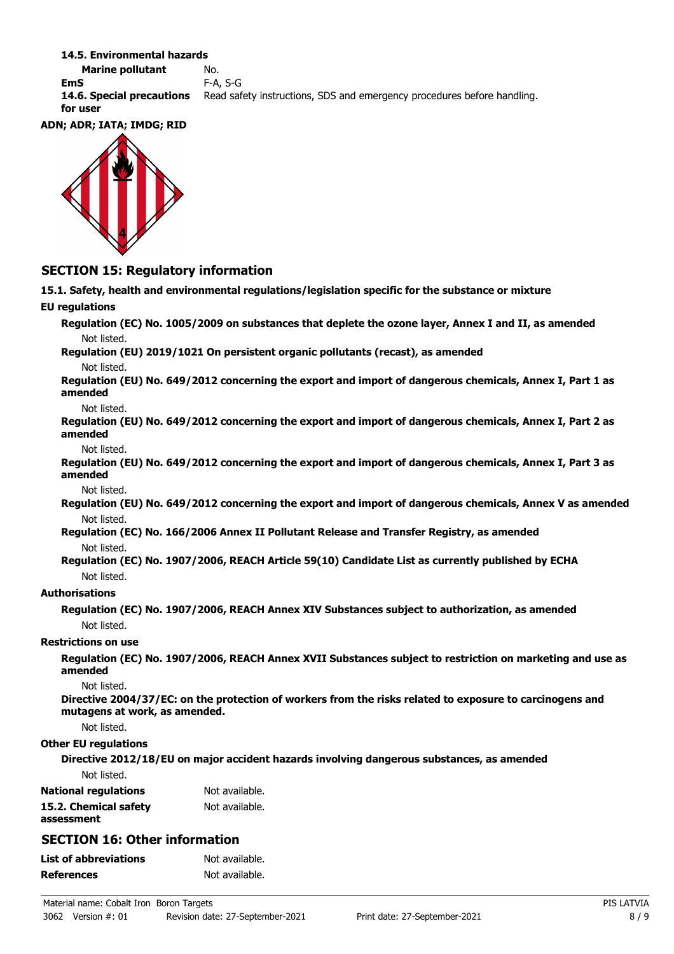#### **14.5. Environmental hazards**

**Marine pollutant** No. **EmS** F-A, S-G **14.6. Special precautions** Read safety instructions, SDS and emergency procedures before handling. **for user**

#### **ADN; ADR; IATA; IMDG; RID**



## **SECTION 15: Regulatory information**

**15.1. Safety, health and environmental regulations/legislation specific for the substance or mixture EU regulations Regulation (EC) No. 1005/2009 on substances that deplete the ozone layer, Annex I and II, as amended** Not listed. **Regulation (EU) 2019/1021 On persistent organic pollutants (recast), as amended** Not listed. **Regulation (EU) No. 649/2012 concerning the export and import of dangerous chemicals, Annex I, Part 1 as amended** Not listed. **Regulation (EU) No. 649/2012 concerning the export and import of dangerous chemicals, Annex I, Part 2 as amended** Not listed. **Regulation (EU) No. 649/2012 concerning the export and import of dangerous chemicals, Annex I, Part 3 as amended** Not listed. **Regulation (EU) No. 649/2012 concerning the export and import of dangerous chemicals, Annex V as amended** Not listed. **Regulation (EC) No. 166/2006 Annex II Pollutant Release and Transfer Registry, as amended** Not listed. **Regulation (EC) No. 1907/2006, REACH Article 59(10) Candidate List as currently published by ECHA** Not listed. **Authorisations Regulation (EC) No. 1907/2006, REACH Annex XIV Substances subject to authorization, as amended** Not listed. **Restrictions on use Regulation (EC) No. 1907/2006, REACH Annex XVII Substances subject to restriction on marketing and use as amended** Not listed. **Directive 2004/37/EC: on the protection of workers from the risks related to exposure to carcinogens and mutagens at work, as amended.** Not listed. **Other EU regulations Directive 2012/18/EU on major accident hazards involving dangerous substances, as amended** Not listed. **National regulations** Not available. **15.2. Chemical safety** Not available. **assessment SECTION 16: Other information List of abbreviations** Not available. **References** Not available.